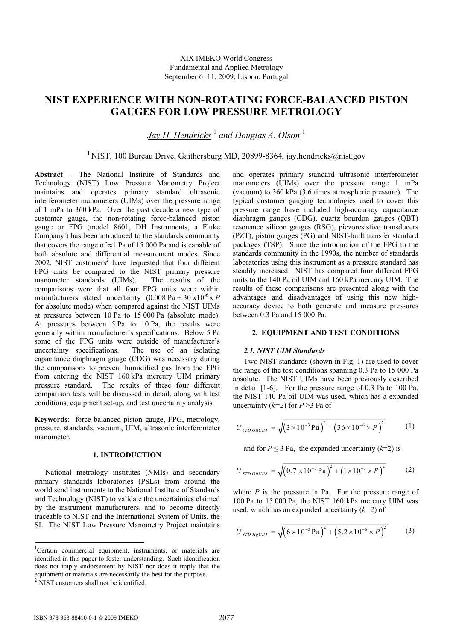# **NIST EXPERIENCE WITH NON-ROTATING FORCE-BALANCED PISTON GAUGES FOR LOW PRESSURE METROLOGY**

 $Jay$  H. Hendricks  $^1$  and Douglas A. Olson  $^1$ 

# <sup>1</sup> NIST, 100 Bureau Drive, Gaithersburg MD, 20899-8364, jay.hendricks@nist.gov

**Abstract** – The National Institute of Standards and Technology (NIST) Low Pressure Manometry Project maintains and operates primary standard ultrasonic interferometer manometers (UIMs) over the pressure range of 1 mPa to 360 kPa. Over the past decade a new type of customer gauge, the non-rotating force-balanced piston gauge or FPG (model 8601, DH Instruments, a Fluke Company<sup>1</sup>) has been introduced to the standards community that covers the range of  $\approx$ 1 Pa of 15 000 Pa and is capable of both absolute and differential measurement modes. Since  $2002$ , NIST customers<sup>2</sup> have requested that four different FPG units be compared to the NIST primary pressure manometer standards (UIMs). The results of the comparisons were that all four FPG units were within manufacturers stated uncertainty  $(0.008 \text{ Pa} + 30 \text{ x}10^{-6} \text{ x } P)$ for absolute mode) when compared against the NIST UIMs at pressures between 10 Pa to 15 000 Pa (absolute mode). At pressures between 5 Pa to 10 Pa, the results were generally within manufacturer's specifications. Below 5 Pa some of the FPG units were outside of manufacturer's uncertainty specifications. The use of an isolating capacitance diaphragm gauge (CDG) was necessary during the comparisons to prevent humidified gas from the FPG from entering the NIST 160 kPa mercury UIM primary pressure standard. The results of these four different comparison tests will be discussed in detail, along with test conditions, equipment set-up, and test uncertainty analysis.

**Keywords**: force balanced piston gauge, FPG, metrology, pressure, standards, vacuum, UIM, ultrasonic interferometer manometer.

## **1. INTRODUCTION**

National metrology institutes (NMIs) and secondary primary standards laboratories (PSLs) from around the world send instruments to the National Institute of Standards and Technology (NIST) to validate the uncertainties claimed by the instrument manufacturers, and to become directly traceable to NIST and the International System of Units, the SI. The NIST Low Pressure Manometry Project maintains

-

and operates primary standard ultrasonic interferometer manometers (UIMs) over the pressure range 1 mPa (vacuum) to 360 kPa (3.6 times atmospheric pressure). The typical customer gauging technologies used to cover this pressure range have included high-accuracy capacitance diaphragm gauges (CDG), quartz bourdon gauges (QBT) resonance silicon gauges (RSG), piezoresistive transducers (PZT), piston gauges (PG) and NIST-built transfer standard packages (TSP). Since the introduction of the FPG to the standards community in the 1990s, the number of standards laboratories using this instrument as a pressure standard has steadily increased. NIST has compared four different FPG units to the 140 Pa oil UIM and 160 kPa mercury UIM. The results of these comparisons are presented along with the advantages and disadvantages of using this new highaccuracy device to both generate and measure pressures between 0.3 Pa and 15 000 Pa.

# **2. EQUIPMENT AND TEST CONDITIONS**

#### *2.1. NIST UIM Standards*

Two NIST standards (shown in Fig. 1) are used to cover the range of the test conditions spanning 0.3 Pa to 15 000 Pa absolute. The NIST UIMs have been previously described in detail [1-6]. For the pressure range of 0.3 Pa to 100 Pa, the NIST 140 Pa oil UIM was used, which has a expanded uncertainty  $(k=2)$  for  $P > 3$  Pa of

$$
U_{\text{STD oilUIM}} = \sqrt{(3 \times 10^{-3} \,\text{Pa})^2 + (36 \times 10^{-6} \times P)^2}
$$
 (1)

and for  $P \le 3$  Pa, the expanded uncertainty  $(k=2)$  is

$$
U_{\text{STD oilUIM}} = \sqrt{(0.7 \times 10^{-3} \,\text{Pa})^2 + (1 \times 10^{-3} \times P)^2}
$$
 (2)

where *P* is the pressure in Pa. For the pressure range of 100 Pa to 15 000 Pa, the NIST 160 kPa mercury UIM was used, which has an expanded uncertainty (*k=2*) of

$$
U_{STD\;HgUIM} = \sqrt{(6 \times 10^{-3} \,\text{Pa})^2 + (5.2 \times 10^{-6} \times P)^2}
$$
 (3)

<sup>&</sup>lt;sup>1</sup>Certain commercial equipment, instruments, or materials are identified in this paper to foster understanding. Such identification does not imply endorsement by NIST nor does it imply that the equipment or materials are necessarily the best for the purpose. 2 NIST customers shall not be identified.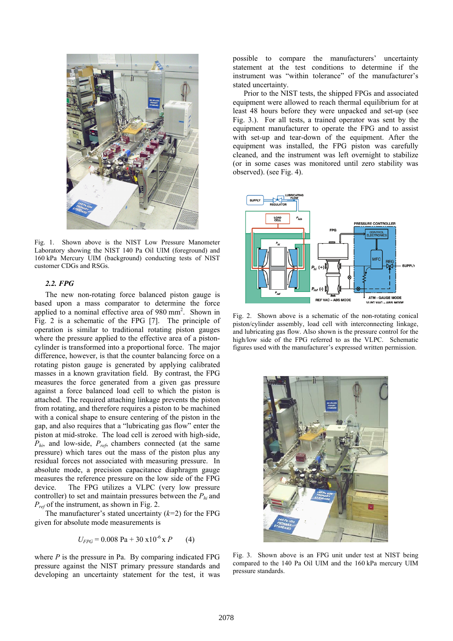

Fig. 1. Shown above is the NIST Low Pressure Manometer Laboratory showing the NIST 140 Pa Oil UIM (foreground) and 160 kPa Mercury UIM (background) conducting tests of NIST customer CDGs and RSGs.

#### *2.2. FPG*

The new non-rotating force balanced piston gauge is based upon a mass comparator to determine the force applied to a nominal effective area of 980 mm<sup>2</sup>. Shown in Fig. 2 is a schematic of the FPG [7]. The principle of operation is similar to traditional rotating piston gauges where the pressure applied to the effective area of a pistoncylinder is transformed into a proportional force. The major difference, however, is that the counter balancing force on a rotating piston gauge is generated by applying calibrated masses in a known gravitation field. By contrast, the FPG measures the force generated from a given gas pressure against a force balanced load cell to which the piston is attached. The required attaching linkage prevents the piston from rotating, and therefore requires a piston to be machined with a conical shape to ensure centering of the piston in the gap, and also requires that a "lubricating gas flow" enter the piston at mid-stroke. The load cell is zeroed with high-side, *Phi*, and low-side, *Pref*, chambers connected (at the same pressure) which tares out the mass of the piston plus any residual forces not associated with measuring pressure. In absolute mode, a precision capacitance diaphragm gauge measures the reference pressure on the low side of the FPG device. The FPG utilizes a VLPC (very low pressure controller) to set and maintain pressures between the  $P_{hi}$  and *Pref* of the instrument, as shown in Fig. 2.

The manufacturer's stated uncertainty (*k=*2) for the FPG given for absolute mode measurements is

$$
U_{FPG} = 0.008 \text{ Pa} + 30 \text{ x} 10^{-6} \text{ x } P \qquad (4)
$$

where *P* is the pressure in Pa. By comparing indicated FPG pressure against the NIST primary pressure standards and developing an uncertainty statement for the test, it was possible to compare the manufacturers' uncertainty statement at the test conditions to determine if the instrument was "within tolerance" of the manufacturer's stated uncertainty.

Prior to the NIST tests, the shipped FPGs and associated equipment were allowed to reach thermal equilibrium for at least 48 hours before they were unpacked and set-up (see Fig. 3.). For all tests, a trained operator was sent by the equipment manufacturer to operate the FPG and to assist with set-up and tear-down of the equipment. After the equipment was installed, the FPG piston was carefully cleaned, and the instrument was left overnight to stabilize (or in some cases was monitored until zero stability was observed). (see Fig. 4).



Fig. 2. Shown above is a schematic of the non-rotating conical piston/cylinder assembly, load cell with interconnecting linkage, and lubricating gas flow. Also shown is the pressure control for the high/low side of the FPG referred to as the VLPC. Schematic figures used with the manufacturer's expressed written permission.



Fig. 3. Shown above is an FPG unit under test at NIST being compared to the 140 Pa Oil UIM and the 160 kPa mercury UIM pressure standards.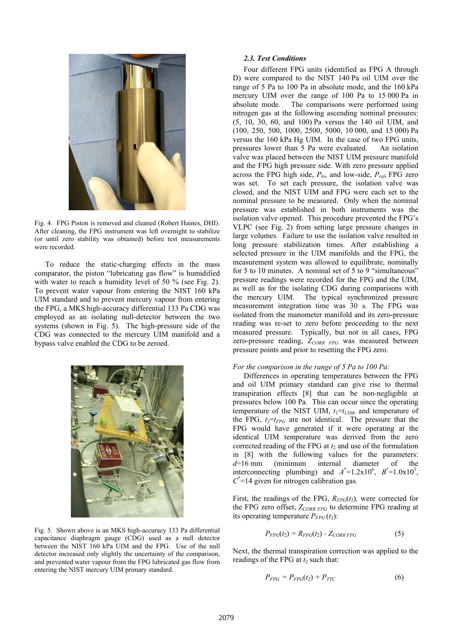

Fig. 4. FPG Piston is removed and cleaned (Robert Haines, DHI). After cleaning, the FPG instrument was left overnight to stabilize (or until zero stability was obtained) before test measurements were recorded.

To reduce the static-charging effects in the mass comparator, the piston "lubricating gas flow" is humidified with water to reach a humidity level of 50 % (see Fig. 2). To prevent water vapour from entering the NIST 160 kPa UIM standard and to prevent mercury vapour from entering the FPG, a MKS high-accuracy differential 133 Pa CDG was employed as an isolating null-detector between the two systems (shown in Fig. 5). The high-pressure side of the CDG was connected to the mercury UIM manifold and a bypass valve enabled the CDG to be zeroed.



Fig. 5. Shown above is an MKS high-accuracy 133 Pa differential capacitance diaphragm gauge (CDG) used as a null detector between the NIST 160 kPa UIM and the FPG. Use of the null detector increased only slightly the uncertainty of the comparison, and prevented water vapour from the FPG lubricated gas flow from entering the NIST mercury UIM primary standard.

### *2.3. Test Conditions*

Four different FPG units (identified as FPG A through D) were compared to the NIST 140 Pa oil UIM over the range of 5 Pa to 100 Pa in absolute mode, and the 160 kPa mercury UIM over the range of 100 Pa to 15 000 Pa in absolute mode. The comparisons were performed using nitrogen gas at the following ascending nominal pressures: (5, 10, 30, 60, and 100) Pa versus the 140 oil UIM, and (100, 250, 500, 1000, 2500, 5000, 10 000, and 15 000) Pa versus the 160 kPa Hg UIM. In the case of two FPG units, pressures lower than 5 Pa were evaluated. An isolation valve was placed between the NIST UIM pressure manifold and the FPG high pressure side. With zero pressure applied across the FPG high side, *Phi*, and low-side, *Pref*, FPG zero was set. To set each pressure, the isolation valve was closed, and the NIST UIM and FPG were each set to the nominal pressure to be measured. Only when the nominal pressure was established in both instruments was the isolation valve opened. This procedure prevented the FPG's VLPC (see Fig. 2) from setting large pressure changes in large volumes. Failure to use the isolation valve resulted in long pressure stabilization times. After establishing a selected pressure in the UIM manifolds and the FPG, the measurement system was allowed to equilibrate, nominally for 5 to 10 minutes. A nominal set of 5 to 9 "simultaneous" pressure readings were recorded for the FPG and the UIM, as well as for the isolating CDG during comparisons with the mercury UIM. The typical synchronized pressure measurement integration time was 30 s. The FPG was isolated from the manometer manifold and its zero-pressure reading was re-set to zero before proceeding to the next measured pressure. Typically, but not in all cases, FPG zero-pressure reading, Z<sub>CORR FPG</sub> was measured between pressure points and prior to resetting the FPG zero.

#### *For the comparison in the range of 5 Pa to 100 Pa:*

Differences in operating temperatures between the FPG and oil UIM primary standard can give rise to thermal transpiration effects [8] that can be non-negligible at pressures below 100 Pa. This can occur since the operating temperature of the NIST UIM,  $t_1 = t_{UIM}$ , and temperature of the FPG,  $t_2=t_{FPG}$  are not identical. The pressure that the FPG would have generated if it were operating at the identical UIM temperature was derived from the zero corrected reading of the FPG at  $t_2$  and use of the formulation in [8] with the following values for the parameters: *d*=16 mm (minimum internal diameter of the interconnecting plumbing) and  $A^*$ =1.2x10<sup>6</sup>,  $B^*$ =1.0x10<sup>3</sup>,  $C^*$ =14 given for nitrogen calibration gas.

First, the readings of the FPG,  $R_{FPG}(t_2)$ , were corrected for the FPG zero offset,  $Z_{CORR FPG}$  to determine FPG reading at its operating temperature  $P_{FPG}(t_2)$ :

$$
P_{FPG}(t_2) = R_{FPG}(t_2) - Z_{CORR FPG} \tag{5}
$$

Next, the thermal transpiration correction was applied to the readings of the FPG at  $t_2$  such that:

$$
P_{FPG} = P_{FPG}(t_2) + P_{TTC} \tag{6}
$$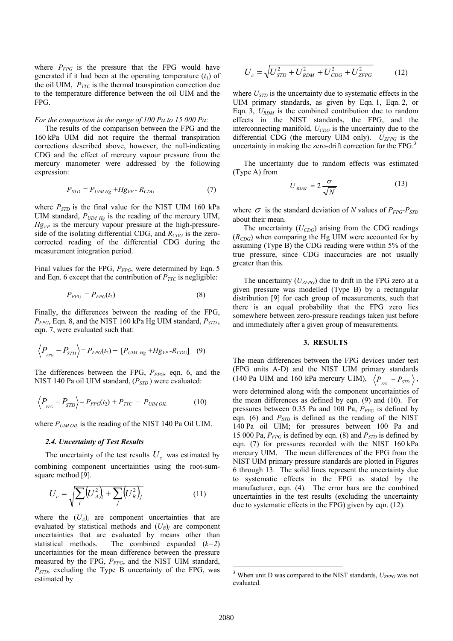where  $P_{FPG}$  is the pressure that the FPG would have generated if it had been at the operating temperature  $(t_1)$  of the oil UIM,  $P_{TTC}$  is the thermal transpiration correction due to the temperature difference between the oil UIM and the FPG.

#### *For the comparison in the range of 100 Pa to 15 000 Pa*:

The results of the comparison between the FPG and the 160 kPa UIM did not require the thermal transpiration corrections described above, however, the null-indicating CDG and the effect of mercury vapour pressure from the mercury manometer were addressed by the following expression:

$$
P_{STD} = P_{UIMHg} + Hg_{VP} - R_{CDG} \tag{7}
$$

where  $P_{STD}$  is the final value for the NIST UIM 160 kPa UIM standard,  $P_{UIM Hg}$  is the reading of the mercury UIM,  $Hg_{VP}$  is the mercury vapour pressure at the high-pressureside of the isolating differential CDG, and  $R_{CDG}$  is the zerocorrected reading of the differential CDG during the measurement integration period.

Final values for the FPG,  $P_{FPG}$ , were determined by Eqn. 5 and Eqn. 6 except that the contribution of  $P_{TTC}$  is negligible:

$$
P_{FPG} = P_{FPG}(t_2) \tag{8}
$$

Finally, the differences between the reading of the FPG, *PFPG*, Eqn. 8, and the NIST 160 kPa Hg UIM standard, *PSTD* , eqn. 7, were evaluated such that:

$$
\left\langle P_{_{FPG}} - P_{STD} \right\rangle = P_{FPG}(t_2) - [P_{UIM\ Hg} + Hg_{VP} - R_{CDG}] \quad (9)
$$

The differences between the FPG,  $P_{FPG}$ , eqn. 6, and the NIST 140 Pa oil UIM standard, ( $P<sub>STD</sub>$ ) were evaluated:

$$
\left\langle P_{_{FPG}} - P_{STD} \right\rangle = P_{FPG}(t_2) + P_{TTC} - P_{UIM\,OIL} \tag{10}
$$

where  $P<sub>UIM OIL</sub>$  is the reading of the NIST 140 Pa Oil UIM.

#### *2.4. Uncertainty of Test Results*

The uncertainty of the test results  $U_c$  was estimated by combining component uncertainties using the root-sumsquare method [9].

$$
U_c = \sqrt{\sum_{i} (U_A)^2 + \sum_{j} (U_B^2)^2}
$$
 (11)

where the  $(U_A)_i$  are component uncertainties that are evaluated by statistical methods and  $(U_B)$ *j* are component uncertainties that are evaluated by means other than statistical methods. The combined expanded (*k=2*) uncertainties for the mean difference between the pressure measured by the FPG,  $P_{FPG}$ , and the NIST UIM standard, *PSTD*, excluding the Type B uncertainty of the FPG, was estimated by

$$
U_c = \sqrt{U_{STD}^2 + U_{RDM}^2 + U_{CDG}^2 + U_{ZFPG}^2}
$$
 (12)

where  $U_{\text{STD}}$  is the uncertainty due to systematic effects in the UIM primary standards, as given by Eqn. 1, Eqn. 2, or Eqn. 3, *URDM* is the combined contribution due to random effects in the NIST standards, the FPG, and the interconnecting manifold,  $U_{CDG}$  is the uncertainty due to the differential CDG (the mercury UIM only).  $U_{ZFPG}$  is the uncertainty in making the zero-drift correction for the FPG.<sup>3</sup>

The uncertainty due to random effects was estimated (Type A) from

$$
U_{RDM} = 2 \frac{\sigma}{\sqrt{N}} \tag{13}
$$

where  $\sigma$  is the standard deviation of *N* values of  $P_{FPG}$ - $P_{STD}$ about their mean.

The uncertainty  $(U_{CDG})$  arising from the CDG readings  $(R<sub>CDG</sub>)$  when comparing the Hg UIM were accounted for by assuming (Type B) the CDG reading were within 5% of the true pressure, since CDG inaccuracies are not usually greater than this.

The uncertainty  $(U_{ZFPG})$  due to drift in the FPG zero at a given pressure was modelled (Type B) by a rectangular distribution [9] for each group of measurements, such that there is an equal probability that the FPG zero lies somewhere between zero-pressure readings taken just before and immediately after a given group of measurements.

#### **3. RESULTS**

The mean differences between the FPG devices under test (FPG units A-D) and the NIST UIM primary standards (140 Pa UIM and 160 kPa mercury UIM),  $\langle P_{Fg} - P_{STD} \rangle$ , were determined along with the component uncertainties of the mean differences as defined by eqn. (9) and (10). For pressures between 0.35 Pa and 100 Pa,  $P_{FPG}$  is defined by eqn. (6) and  $P_{STD}$  is defined as the reading of the NIST 140 Pa oil UIM; for pressures between 100 Pa and 15 000 Pa,  $P_{FPG}$  is defined by eqn. (8) and  $P_{STD}$  is defined by eqn. (7) for pressures recorded with the NIST 160 kPa mercury UIM. The mean differences of the FPG from the NIST UIM primary pressure standards are plotted in Figures 6 through 13. The solid lines represent the uncertainty due to systematic effects in the FPG as stated by the manufacturer, eqn. (4). The error bars are the combined uncertainties in the test results (excluding the uncertainty due to systematic effects in the FPG) given by eqn. (12).

-

<sup>&</sup>lt;sup>3</sup> When unit D was compared to the NIST standards,  $U_{ZFPG}$  was not evaluated.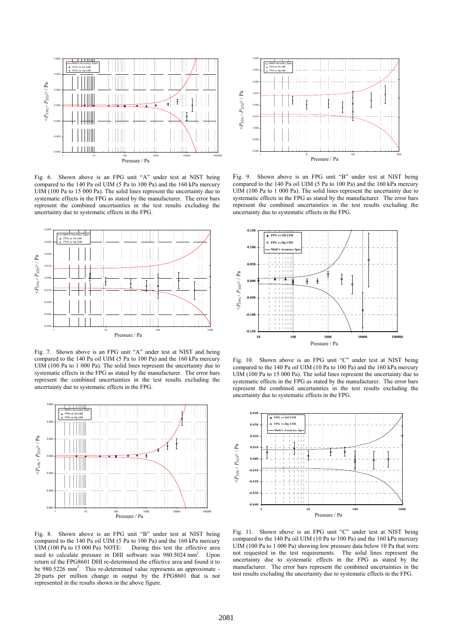

Fig. 6. Shown above is an FPG unit "A" under test at NIST being compared to the 140 Pa oil UIM (5 Pa to 100 Pa) and the 160 kPa mercury UIM (100 Pa to 15 000 Pa). The solid lines represent the uncertainty due to systematic effects in the FPG as stated by the manufacturer. The error bars represent the combined uncertainties in the test results excluding the uncertainty due to systematic effects in the FPG.



Fig. 7. Shown above is an FPG unit "A" under test at NIST and being compared to the 140 Pa oil UIM (5 Pa to 100 Pa) and the 160 kPa mercury UIM (100 Pa to 1 000 Pa). The solid lines represent the uncertainty due to systematic effects in the FPG as stated by the manufacturer. The error bars represent the combined uncertainties in the test results excluding the uncertainty due to systematic effects in the FPG.



Fig. 8. Shown above is an FPG unit "B" under test at NIST being compared to the 140 Pa oil UIM (5 Pa to 100 Pa) and the 160 kPa mercury UIM (100 Pa to 15 000 Pa). NOTE: During this test the effective area During this test the effective area used to calculate pressure in DHI software was 980.5024 mm<sup>2</sup>. Upon return of the FPG8601 DHI re-determined the effective area and found it to be 980.5226 mm<sup>2</sup>. This re-determined value represents an approximate -20 parts per million change in output by the FPG8601 that is not represented in the results shown in the above figure.



Fig. 9. Shown above is an FPG unit "B" under test at NIST being compared to the 140 Pa oil UIM (5 Pa to 100 Pa) and the 160 kPa mercury UIM (100 Pa to 1 000 Pa). The solid lines represent the uncertainty due to systematic effects in the FPG as stated by the manufacturer. The error bars represent the combined uncertainties in the test results excluding the uncertainty due to systematic effects in the FPG.



Fig. 10. Shown above is an FPG unit "C" under test at NIST being compared to the 140 Pa oil UIM (10 Pa to 100 Pa) and the 160 kPa mercury UIM (100 Pa to 15 000 Pa). The solid lines represent the uncertainty due to systematic effects in the FPG as stated by the manufacturer. The error bars represent the combined uncertainties in the test results excluding the uncertainty due to systematic effects in the FPG.



Fig. 11. Shown above is an FPG unit "C" under test at NIST being compared to the 140 Pa oil UIM (10 Pa to 100 Pa) and the 160 kPa mercury UIM (100 Pa to 1 000 Pa) showing low pressure data below 10 Pa that were not requested in the test requirements. The solid lines represent the uncertainty due to systematic effects in the FPG as stated by the manufacturer. The error bars represent the combined uncertainties in the test results excluding the uncertainty due to systematic effects in the FPG.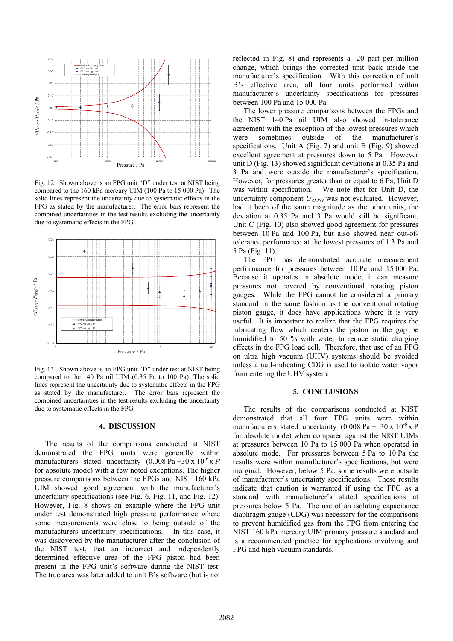

Fig. 12. Shown above is an FPG unit "D" under test at NIST being compared to the 160 kPa mercury UIM (100 Pa to 15 000 Pa). The solid lines represent the uncertainty due to systematic effects in the FPG as stated by the manufacturer. The error bars represent the combined uncertainties in the test results excluding the uncertainty due to systematic effects in the FPG.



Fig. 13. Shown above is an FPG unit "D" under test at NIST being compared to the 140 Pa oil UIM (0.35 Pa to 100 Pa). The solid lines represent the uncertainty due to systematic effects in the FPG as stated by the manufacturer. The error bars represent the combined uncertainties in the test results excluding the uncertainty due to systematic effects in the FPG.

#### **4. DISCUSSION**

The results of the comparisons conducted at NIST demonstrated the FPG units were generally within manufacturers stated uncertainty  $(0.008 \text{ Pa} + 30 \text{ x } 10^{-6} \text{ x } P)$ for absolute mode) with a few noted exceptions. The higher pressure comparisons between the FPGs and NIST 160 kPa UIM showed good agreement with the manufacturer's uncertainty specifications (see Fig. 6, Fig. 11, and Fig. 12). However, Fig. 8 shows an example where the FPG unit under test demonstrated high pressure performance where some measurements were close to being outside of the manufacturers uncertainty specifications. In this case, it was discovered by the manufacturer after the conclusion of the NIST test, that an incorrect and independently determined effective area of the FPG piston had been present in the FPG unit's software during the NIST test. The true area was later added to unit B's software (but is not reflected in Fig. 8) and represents a -20 part per million change, which brings the corrected unit back inside the manufacturer's specification. With this correction of unit B's effective area, all four units performed within manufacturer's uncertainty specifications for pressures between 100 Pa and 15 000 Pa.

The lower pressure comparisons between the FPGs and the NIST 140 Pa oil UIM also showed in-tolerance agreement with the exception of the lowest pressures which were sometimes outside of the manufacturer's specifications. Unit A (Fig. 7) and unit B (Fig. 9) showed excellent agreement at pressures down to 5 Pa. However unit D (Fig. 13) showed significant deviations at 0.35 Pa and 3 Pa and were outside the manufacturer's specification. However, for pressures greater than or equal to 6 Pa, Unit D was within specification. We note that for Unit D, the uncertainty component  $U_{ZFPG}$  was not evaluated. However, had it been of the same magnitude as the other units, the deviation at 0.35 Pa and 3 Pa would still be significant. Unit C (Fig. 10) also showed good agreement for pressures between 10 Pa and 100 Pa, but also showed near out-oftolerance performance at the lowest pressures of 1.3 Pa and 5 Pa (Fig. 11).

The FPG has demonstrated accurate measurement performance for pressures between 10 Pa and 15 000 Pa. Because it operates in absolute mode, it can measure pressures not covered by conventional rotating piston gauges. While the FPG cannot be considered a primary standard in the same fashion as the conventional rotating piston gauge, it does have applications where it is very useful. It is important to realize that the FPG requires the lubricating flow which centers the piston in the gap be humidified to 50 % with water to reduce static charging effects in the FPG load cell. Therefore, that use of an FPG on ultra high vacuum (UHV) systems should be avoided unless a null-indicating CDG is used to isolate water vapor from entering the UHV system.

#### **5. CONCLUSIONS**

The results of the comparisons conducted at NIST demonstrated that all four FPG units were within manufacturers stated uncertainty  $(0.008 \text{ Pa} + 30 \text{ x } 10^{-6} \text{ x P})$ for absolute mode) when compared against the NIST UIMs at pressures between 10 Pa to 15 000 Pa when operated in absolute mode. For pressures between 5 Pa to 10 Pa the results were within manufacturer's specifications, but were marginal. However, below 5 Pa, some results were outside of manufacturer's uncertainty specifications. These results indicate that caution is warranted if using the FPG as a standard with manufacturer's stated specifications at pressures below 5 Pa. The use of an isolating capacitance diaphragm gauge (CDG) was necessary for the comparisons to prevent humidified gas from the FPG from entering the NIST 160 kPa mercury UIM primary pressure standard and is a recommended practice for applications involving and FPG and high vacuum standards.